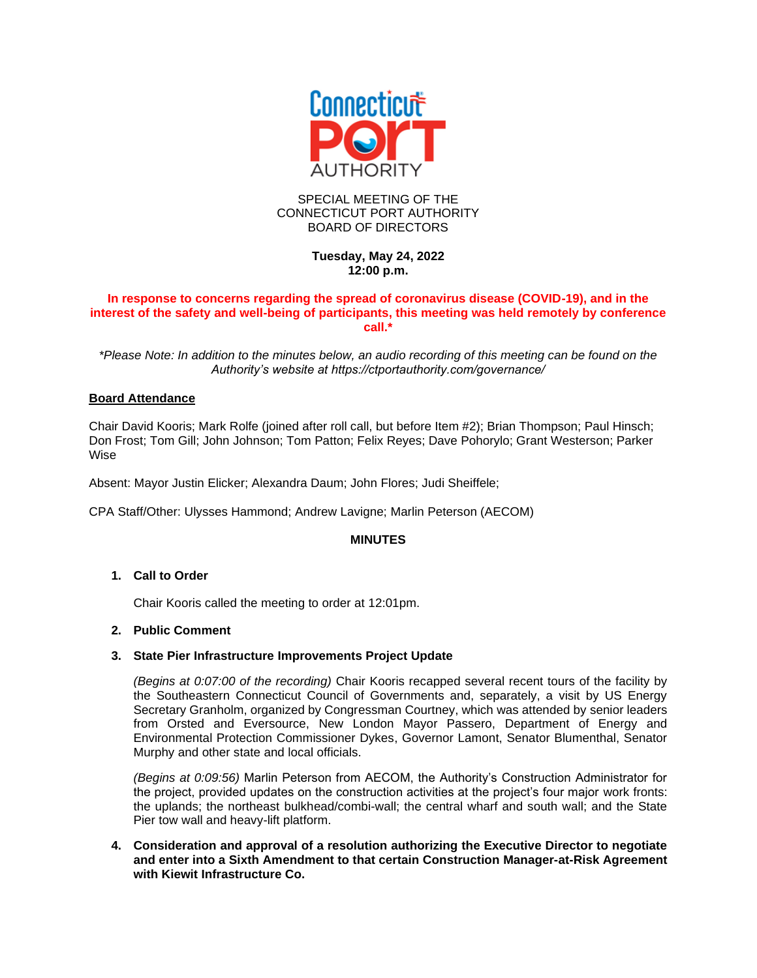

## SPECIAL MEETING OF THE CONNECTICUT PORT AUTHORITY BOARD OF DIRECTORS

# **Tuesday, May 24, 2022 12:00 p.m.**

## **In response to concerns regarding the spread of coronavirus disease (COVID-19), and in the interest of the safety and well-being of participants, this meeting was held remotely by conference call.\***

*\*Please Note: In addition to the minutes below, an audio recording of this meeting can be found on the Authority's website at https://ctportauthority.com/governance/*

## **Board Attendance**

Chair David Kooris; Mark Rolfe (joined after roll call, but before Item #2); Brian Thompson; Paul Hinsch; Don Frost; Tom Gill; John Johnson; Tom Patton; Felix Reyes; Dave Pohorylo; Grant Westerson; Parker Wise

Absent: Mayor Justin Elicker; Alexandra Daum; John Flores; Judi Sheiffele;

CPA Staff/Other: Ulysses Hammond; Andrew Lavigne; Marlin Peterson (AECOM)

## **MINUTES**

## **1. Call to Order**

Chair Kooris called the meeting to order at 12:01pm.

## **2. Public Comment**

## **3. State Pier Infrastructure Improvements Project Update**

*(Begins at 0:07:00 of the recording)* Chair Kooris recapped several recent tours of the facility by the Southeastern Connecticut Council of Governments and, separately, a visit by US Energy Secretary Granholm, organized by Congressman Courtney, which was attended by senior leaders from Orsted and Eversource, New London Mayor Passero, Department of Energy and Environmental Protection Commissioner Dykes, Governor Lamont, Senator Blumenthal, Senator Murphy and other state and local officials.

*(Begins at 0:09:56)* Marlin Peterson from AECOM, the Authority's Construction Administrator for the project, provided updates on the construction activities at the project's four major work fronts: the uplands; the northeast bulkhead/combi-wall; the central wharf and south wall; and the State Pier tow wall and heavy-lift platform.

## **4. Consideration and approval of a resolution authorizing the Executive Director to negotiate and enter into a Sixth Amendment to that certain Construction Manager-at-Risk Agreement with Kiewit Infrastructure Co.**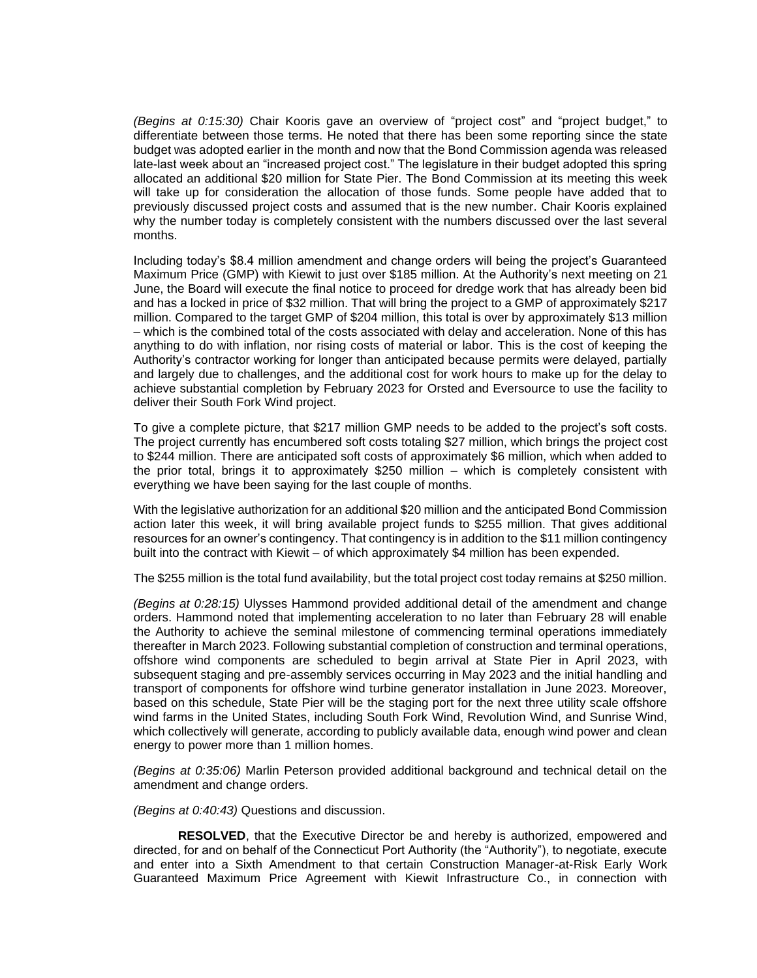*(Begins at 0:15:30)* Chair Kooris gave an overview of "project cost" and "project budget," to differentiate between those terms. He noted that there has been some reporting since the state budget was adopted earlier in the month and now that the Bond Commission agenda was released late-last week about an "increased project cost." The legislature in their budget adopted this spring allocated an additional \$20 million for State Pier. The Bond Commission at its meeting this week will take up for consideration the allocation of those funds. Some people have added that to previously discussed project costs and assumed that is the new number. Chair Kooris explained why the number today is completely consistent with the numbers discussed over the last several months.

Including today's \$8.4 million amendment and change orders will being the project's Guaranteed Maximum Price (GMP) with Kiewit to just over \$185 million. At the Authority's next meeting on 21 June, the Board will execute the final notice to proceed for dredge work that has already been bid and has a locked in price of \$32 million. That will bring the project to a GMP of approximately \$217 million. Compared to the target GMP of \$204 million, this total is over by approximately \$13 million – which is the combined total of the costs associated with delay and acceleration. None of this has anything to do with inflation, nor rising costs of material or labor. This is the cost of keeping the Authority's contractor working for longer than anticipated because permits were delayed, partially and largely due to challenges, and the additional cost for work hours to make up for the delay to achieve substantial completion by February 2023 for Orsted and Eversource to use the facility to deliver their South Fork Wind project.

To give a complete picture, that \$217 million GMP needs to be added to the project's soft costs. The project currently has encumbered soft costs totaling \$27 million, which brings the project cost to \$244 million. There are anticipated soft costs of approximately \$6 million, which when added to the prior total, brings it to approximately \$250 million – which is completely consistent with everything we have been saying for the last couple of months.

With the legislative authorization for an additional \$20 million and the anticipated Bond Commission action later this week, it will bring available project funds to \$255 million. That gives additional resources for an owner's contingency. That contingency is in addition to the \$11 million contingency built into the contract with Kiewit – of which approximately \$4 million has been expended.

The \$255 million is the total fund availability, but the total project cost today remains at \$250 million.

*(Begins at 0:28:15)* Ulysses Hammond provided additional detail of the amendment and change orders. Hammond noted that implementing acceleration to no later than February 28 will enable the Authority to achieve the seminal milestone of commencing terminal operations immediately thereafter in March 2023. Following substantial completion of construction and terminal operations, offshore wind components are scheduled to begin arrival at State Pier in April 2023, with subsequent staging and pre-assembly services occurring in May 2023 and the initial handling and transport of components for offshore wind turbine generator installation in June 2023. Moreover, based on this schedule, State Pier will be the staging port for the next three utility scale offshore wind farms in the United States, including South Fork Wind, Revolution Wind, and Sunrise Wind, which collectively will generate, according to publicly available data, enough wind power and clean energy to power more than 1 million homes.

*(Begins at 0:35:06)* Marlin Peterson provided additional background and technical detail on the amendment and change orders.

*(Begins at 0:40:43)* Questions and discussion.

**RESOLVED**, that the Executive Director be and hereby is authorized, empowered and directed, for and on behalf of the Connecticut Port Authority (the "Authority"), to negotiate, execute and enter into a Sixth Amendment to that certain Construction Manager-at-Risk Early Work Guaranteed Maximum Price Agreement with Kiewit Infrastructure Co., in connection with